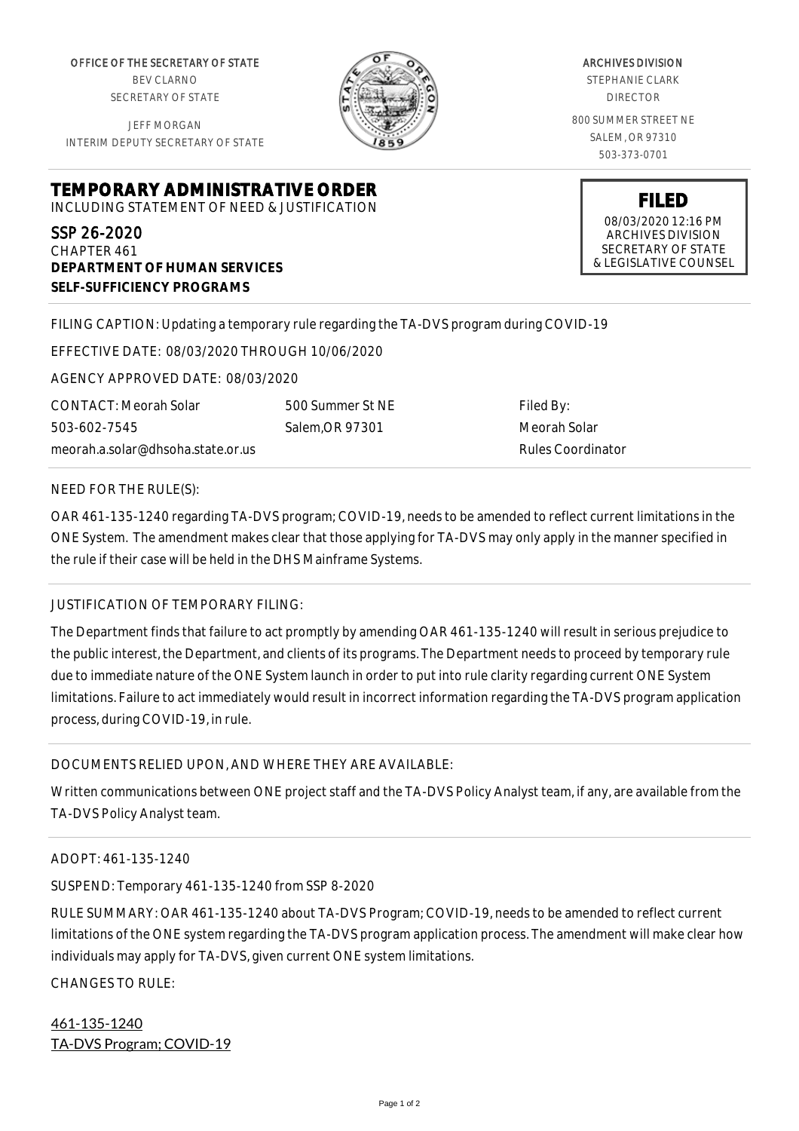OFFICE OF THE SECRETARY OF STATE BEV CLARNO SECRETARY OF STATE

JEFF MORGAN INTERIM DEPUTY SECRETARY OF STATE

**DEPARTMENT OF HUMAN SERVICES**

**SELF-SUFFICIENCY PROGRAMS**

ARCHIVES DIVISION STEPHANIE CLARK DIRECTOR 800 SUMMER STREET NE SALEM, OR 97310 503-373-0701

**FILED** 08/03/2020 12:16 PM ARCHIVES DIVISION SECRETARY OF STATE

& LEGISLATIVE COUNSEL

FILING CAPTION: Updating a temporary rule regarding the TA-DVS program during COVID-19

EFFECTIVE DATE: 08/03/2020 THROUGH 10/06/2020

**TEMPORARY ADMINISTRATIVE ORDER** INCLUDING STATEMENT OF NEED & JUSTIFICATION

AGENCY APPROVED DATE: 08/03/2020

CONTACT: Meorah Solar 503-602-7545 meorah.a.solar@dhsoha.state.or.us 500 Summer St NE Salem,OR 97301

Filed By: Meorah Solar Rules Coordinator

NEED FOR THE RULE(S):

SSP 26-2020 CHAPTER 461

OAR 461-135-1240 regarding TA-DVS program; COVID-19, needs to be amended to reflect current limitations in the ONE System. The amendment makes clear that those applying for TA-DVS may only apply in the manner specified in the rule if their case will be held in the DHS Mainframe Systems.

## JUSTIFICATION OF TEMPORARY FILING:

The Department finds that failure to act promptly by amending OAR 461-135-1240 will result in serious prejudice to the public interest, the Department, and clients of its programs. The Department needs to proceed by temporary rule due to immediate nature of the ONE System launch in order to put into rule clarity regarding current ONE System limitations. Failure to act immediately would result in incorrect information regarding the TA-DVS program application process, during COVID-19, in rule.

## DOCUMENTS RELIED UPON, AND WHERE THEY ARE AVAILABLE:

Written communications between ONE project staff and the TA-DVS Policy Analyst team, if any, are available from the TA-DVS Policy Analyst team.

## ADOPT: 461-135-1240

SUSPEND: Temporary 461-135-1240 from SSP 8-2020

RULE SUMMARY: OAR 461-135-1240 about TA-DVS Program; COVID-19, needs to be amended to reflect current limitations of the ONE system regarding the TA-DVS program application process. The amendment will make clear how individuals may apply for TA-DVS, given current ONE system limitations.

CHANGES TO RULE:

461-135-1240 TA-DVS Program; COVID-19